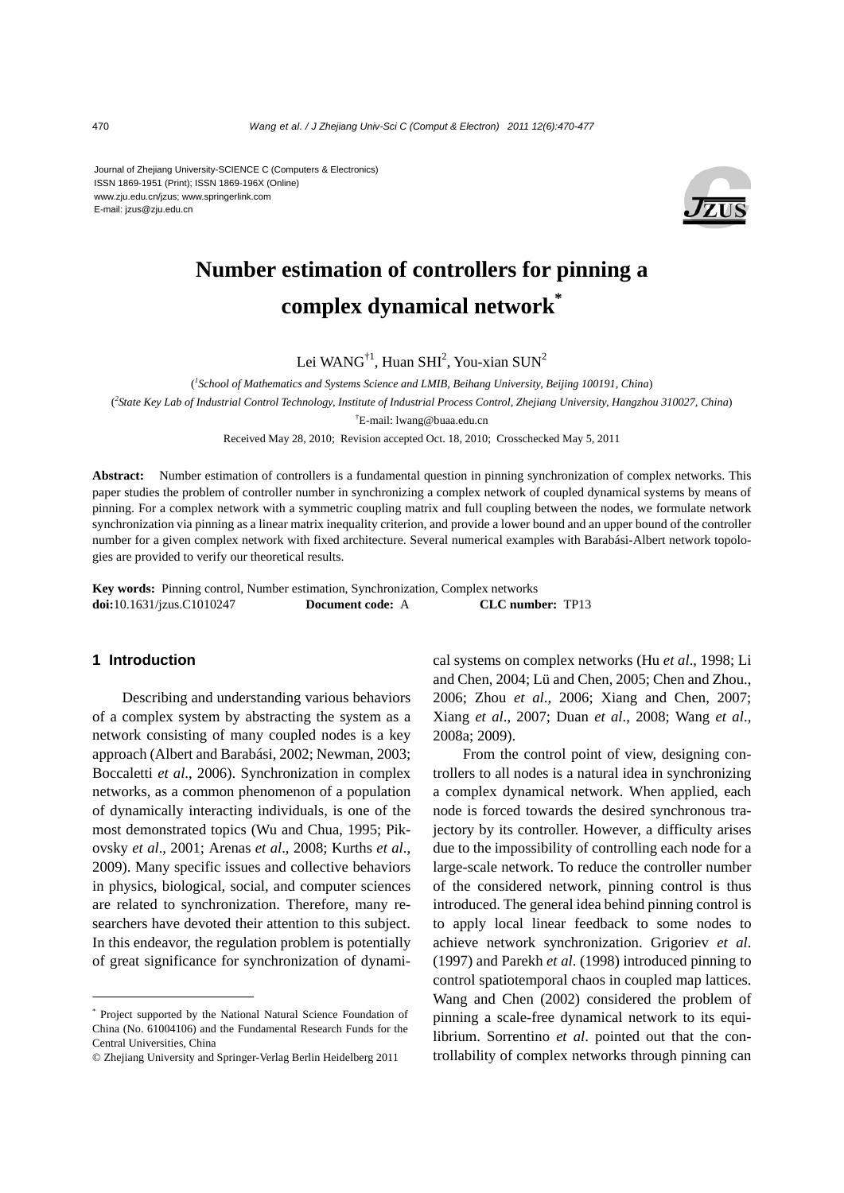Journal of Zhejiang University-SCIENCE C (Computers & Electronics) ISSN 1869-1951 (Print); ISSN 1869-196X (Online) www.zju.edu.cn/jzus; www.springerlink.com E-mail: jzus@zju.edu.cn



# **Number estimation of controllers for pinning a complex dynamical network\***

Lei WANG<sup>†1</sup>, Huan SHI<sup>2</sup>, You-xian SUN<sup>2</sup>

( *1 School of Mathematics and Systems Science and LMIB, Beihang University, Beijing 100191, China*)

( *2 State Key Lab of Industrial Control Technology, Institute of Industrial Process Control, Zhejiang University, Hangzhou 310027, China*)

† E-mail: lwang@buaa.edu.cn

Received May 28, 2010; Revision accepted Oct. 18, 2010; Crosschecked May 5, 2011

**Abstract:** Number estimation of controllers is a fundamental question in pinning synchronization of complex networks. This paper studies the problem of controller number in synchronizing a complex network of coupled dynamical systems by means of pinning. For a complex network with a symmetric coupling matrix and full coupling between the nodes, we formulate network synchronization via pinning as a linear matrix inequality criterion, and provide a lower bound and an upper bound of the controller number for a given complex network with fixed architecture. Several numerical examples with Barabási-Albert network topologies are provided to verify our theoretical results.

**Key words:** Pinning control, Number estimation, Synchronization, Complex networks **doi:**10.1631/jzus.C1010247 **Document code:** A **CLC number:** TP13

### **1 Introduction**

Describing and understanding various behaviors of a complex system by abstracting the system as a network consisting of many coupled nodes is a key approach (Albert and Barabási, 2002; Newman, 2003; Boccaletti *et al*., 2006). Synchronization in complex networks, as a common phenomenon of a population of dynamically interacting individuals, is one of the most demonstrated topics (Wu and Chua, 1995; Pikovsky *et al*., 2001; Arenas *et al*., 2008; Kurths *et al*., 2009). Many specific issues and collective behaviors in physics, biological, social, and computer sciences are related to synchronization. Therefore, many researchers have devoted their attention to this subject. In this endeavor, the regulation problem is potentially of great significance for synchronization of dynamical systems on complex networks (Hu *et al*., 1998; Li and Chen, 2004; Lü and Chen, 2005; Chen and Zhou., 2006; Zhou *et al*., 2006; Xiang and Chen, 2007; Xiang *et al*., 2007; Duan *et al*., 2008; Wang *et al*., 2008a; 2009).

From the control point of view, designing controllers to all nodes is a natural idea in synchronizing a complex dynamical network. When applied, each node is forced towards the desired synchronous trajectory by its controller. However, a difficulty arises due to the impossibility of controlling each node for a large-scale network. To reduce the controller number of the considered network, pinning control is thus introduced. The general idea behind pinning control is to apply local linear feedback to some nodes to achieve network synchronization. Grigoriev *et al*. (1997) and Parekh *et al*. (1998) introduced pinning to control spatiotemporal chaos in coupled map lattices. Wang and Chen (2002) considered the problem of pinning a scale-free dynamical network to its equilibrium. Sorrentino *et al*. pointed out that the controllability of complex networks through pinning can

<sup>\*</sup> Project supported by the National Natural Science Foundation of China (No. 61004106) and the Fundamental Research Funds for the Central Universities, China

<sup>©</sup> Zhejiang University and Springer-Verlag Berlin Heidelberg 2011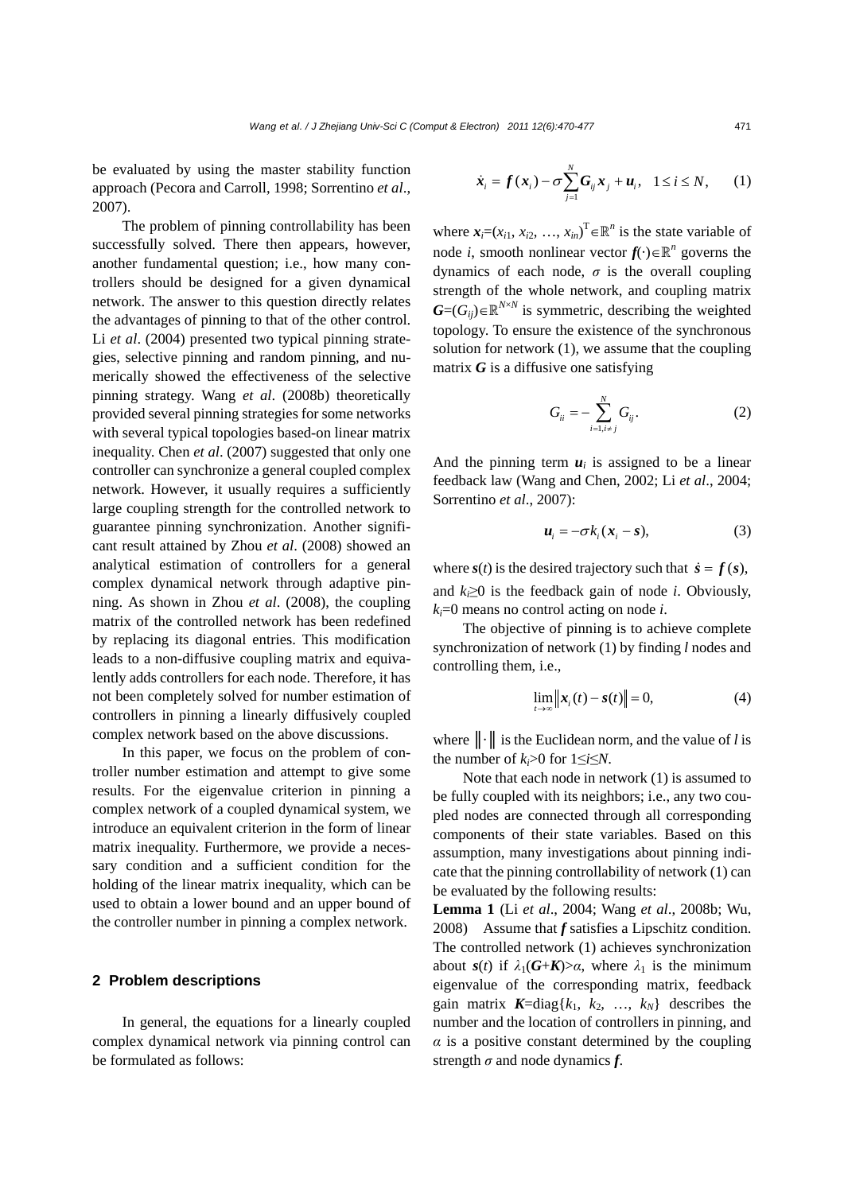be evaluated by using the master stability function approach (Pecora and Carroll, 1998; Sorrentino *et al*., 2007).

The problem of pinning controllability has been successfully solved. There then appears, however, another fundamental question; i.e., how many controllers should be designed for a given dynamical network. The answer to this question directly relates the advantages of pinning to that of the other control. Li *et al*. (2004) presented two typical pinning strategies, selective pinning and random pinning, and numerically showed the effectiveness of the selective pinning strategy. Wang *et al*. (2008b) theoretically provided several pinning strategies for some networks with several typical topologies based-on linear matrix inequality. Chen *et al*. (2007) suggested that only one controller can synchronize a general coupled complex network. However, it usually requires a sufficiently large coupling strength for the controlled network to guarantee pinning synchronization. Another significant result attained by Zhou *et al*. (2008) showed an analytical estimation of controllers for a general complex dynamical network through adaptive pinning. As shown in Zhou *et al*. (2008), the coupling matrix of the controlled network has been redefined by replacing its diagonal entries. This modification leads to a non-diffusive coupling matrix and equivalently adds controllers for each node. Therefore, it has not been completely solved for number estimation of controllers in pinning a linearly diffusively coupled complex network based on the above discussions.

In this paper, we focus on the problem of controller number estimation and attempt to give some results. For the eigenvalue criterion in pinning a complex network of a coupled dynamical system, we introduce an equivalent criterion in the form of linear matrix inequality. Furthermore, we provide a necessary condition and a sufficient condition for the holding of the linear matrix inequality, which can be used to obtain a lower bound and an upper bound of the controller number in pinning a complex network.

#### **2 Problem descriptions**

In general, the equations for a linearly coupled complex dynamical network via pinning control can be formulated as follows:

$$
\dot{\boldsymbol{x}}_i = \boldsymbol{f}(\boldsymbol{x}_i) - \sigma \sum_{j=1}^N \boldsymbol{G}_{ij} \boldsymbol{x}_j + \boldsymbol{u}_i, \quad 1 \leq i \leq N, \qquad (1)
$$

where  $\mathbf{x}_i = (x_{i1}, x_{i2}, \dots, x_{in})^\text{T} \in \mathbb{R}^n$  is the state variable of node *i*, smooth nonlinear vector  $f(\cdot) \in \mathbb{R}^n$  governs the dynamics of each node,  $\sigma$  is the overall coupling strength of the whole network, and coupling matrix  $G=(G_{ij})\in\mathbb{R}^{N\times N}$  is symmetric, describing the weighted topology. To ensure the existence of the synchronous solution for network (1), we assume that the coupling matrix *G* is a diffusive one satisfying

$$
G_{ii} = -\sum_{i=1, i \neq j}^{N} G_{ij}.
$$
 (2)

And the pinning term  $u_i$  is assigned to be a linear feedback law (Wang and Chen, 2002; Li *et al*., 2004; Sorrentino *et al*., 2007):

$$
\boldsymbol{u}_i = -\sigma k_i (\boldsymbol{x}_i - \boldsymbol{s}), \tag{3}
$$

where  $s(t)$  is the desired trajectory such that  $\dot{s} = f(s)$ , and  $k \geq 0$  is the feedback gain of node *i*. Obviously, *ki*=0 means no control acting on node *i*.

The objective of pinning is to achieve complete synchronization of network (1) by finding *l* nodes and controlling them, i.e.,

$$
\lim_{t \to \infty} ||x_i(t) - s(t)|| = 0,
$$
 (4)

where ║·║ is the Euclidean norm, and the value of *l* is the number of  $k_i>0$  for  $1\leq i\leq N$ .

Note that each node in network (1) is assumed to be fully coupled with its neighbors; i.e., any two coupled nodes are connected through all corresponding components of their state variables. Based on this assumption, many investigations about pinning indicate that the pinning controllability of network (1) can be evaluated by the following results:

**Lemma 1** (Li *et al*., 2004; Wang *et al*., 2008b; Wu, 2008) Assume that *f* satisfies a Lipschitz condition. The controlled network (1) achieves synchronization about *s*(*t*) if  $\lambda_1(G+K) > \alpha$ , where  $\lambda_1$  is the minimum eigenvalue of the corresponding matrix, feedback gain matrix  $K = diag{k_1, k_2, ..., k_N}$  describes the number and the location of controllers in pinning, and  $\alpha$  is a positive constant determined by the coupling strength  $\sigma$  and node dynamics  $f$ .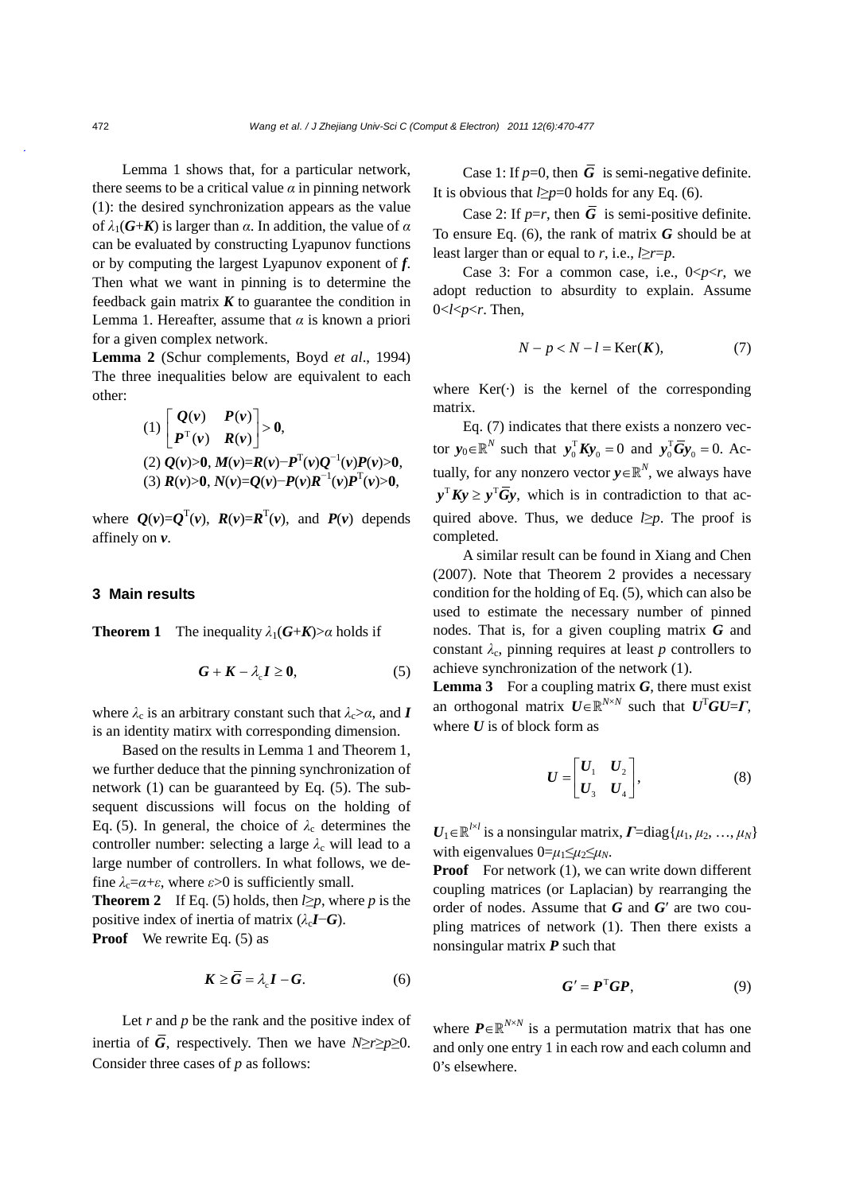Lemma 1 shows that, for a particular network, there seems to be a critical value  $\alpha$  in pinning network (1): the desired synchronization appears as the value of *λ*1(*G*+*K*) is larger than *α*. In addition, the value of *α* can be evaluated by constructing Lyapunov functions or by computing the largest Lyapunov exponent of *f*. Then what we want in pinning is to determine the feedback gain matrix  $K$  to guarantee the condition in Lemma 1. Hereafter, assume that  $\alpha$  is known a priori for a given complex network.

**Lemma 2** (Schur complements, Boyd *et al*., 1994) The three inequalities below are equivalent to each other:

(1) 
$$
\begin{bmatrix} Q(v) & P(v) \\ P^T(v) & R(v) \end{bmatrix} > 0
$$
,  
\n(2)  $Q(v) > 0$ ,  $M(v) = R(v) - P^T(v)Q^{-1}(v)P(v) > 0$ ,  
\n(3)  $R(v) > 0$ ,  $N(v) = Q(v) - P(v)R^{-1}(v)P^T(v) > 0$ ,

where  $Q(v)=Q^{T}(v)$ ,  $R(v)=R^{T}(v)$ , and  $P(v)$  depends affinely on *v*.

#### **3 Main results**

**Theorem 1** The inequality  $\lambda_1(G+K) > \alpha$  holds if

$$
G + K - \lambda_{\rm c} I \ge 0, \tag{5}
$$

where  $\lambda_c$  is an arbitrary constant such that  $\lambda_c > \alpha$ , and *I* is an identity matirx with corresponding dimension.

Based on the results in Lemma 1 and Theorem 1, we further deduce that the pinning synchronization of network (1) can be guaranteed by Eq. (5). The subsequent discussions will focus on the holding of Eq. (5). In general, the choice of  $\lambda_c$  determines the controller number: selecting a large  $\lambda_c$  will lead to a large number of controllers. In what follows, we define  $\lambda_c = \alpha + \varepsilon$ , where  $\varepsilon > 0$  is sufficiently small.

**Theorem 2** If Eq. (5) holds, then  $l \geq p$ , where *p* is the positive index of inertia of matrix  $(\lambda_c I - G)$ .

**Proof** We rewrite Eq. 
$$
(5)
$$
 as

$$
K \ge G = \lambda_{\rm c} I - G. \tag{6}
$$

Let *r* and *p* be the rank and the positive index of inertia of  $\overline{G}$ , respectively. Then we have *N*≥*r*≥*p*≥0. Consider three cases of *p* as follows:

Case 1: If  $p=0$ , then  $\overline{G}$  is semi-negative definite. It is obvious that  $l \geq p=0$  holds for any Eq. (6).

Case 2: If  $p=r$ , then  $\overline{G}$  is semi-positive definite. To ensure Eq. (6), the rank of matrix *G* should be at least larger than or equal to *r*, i.e.,  $l \geq r = p$ .

Case 3: For a common case, i.e., 0<*p*<*r*, we adopt reduction to absurdity to explain. Assume  $0 < l < p < r$ . Then,

$$
N - p < N - l = \text{Ker}(\mathbf{K}),\tag{7}
$$

where  $Ker(\cdot)$  is the kernel of the corresponding matrix.

Eq. (7) indicates that there exists a nonzero vector  $y_0 \in \mathbb{R}^N$  such that  $y_0^T K y_0 = 0$  and  $y_0^T \overline{G} y_0 = 0$ . Actually, for any nonzero vector  $y \in \mathbb{R}^N$ , we always have  $y^T K y \ge y^T \overline{G} y$ , which is in contradiction to that acquired above. Thus, we deduce  $l \geq p$ . The proof is completed.

A similar result can be found in Xiang and Chen (2007). Note that Theorem 2 provides a necessary condition for the holding of Eq. (5), which can also be used to estimate the necessary number of pinned nodes. That is, for a given coupling matrix *G* and constant  $\lambda_c$ , pinning requires at least *p* controllers to achieve synchronization of the network (1).

**Lemma 3** For a coupling matrix  $G$ , there must exist an orthogonal matrix  $U \in \mathbb{R}^{N \times N}$  such that  $U^{T}GU = \Gamma$ , where  $U$  is of block form as

$$
U = \begin{bmatrix} U_1 & U_2 \\ U_3 & U_4 \end{bmatrix}, \tag{8}
$$

 $U_1 \in \mathbb{R}^{l \times l}$  is a nonsingular matrix,  $\boldsymbol{\varGamma}$ =diag{ $\mu_1, \mu_2, ..., \mu_N$ } with eigenvalues  $0 = \mu_1 \leq \mu_2 \leq \mu_N$ .

**Proof** For network (1), we can write down different coupling matrices (or Laplacian) by rearranging the order of nodes. Assume that *G* and *G*′ are two coupling matrices of network (1). Then there exists a nonsingular matrix *P* such that

$$
G' = PTGP,
$$
 (9)

where  $P \in \mathbb{R}^{N \times N}$  is a permutation matrix that has one and only one entry 1 in each row and each column and 0's elsewhere.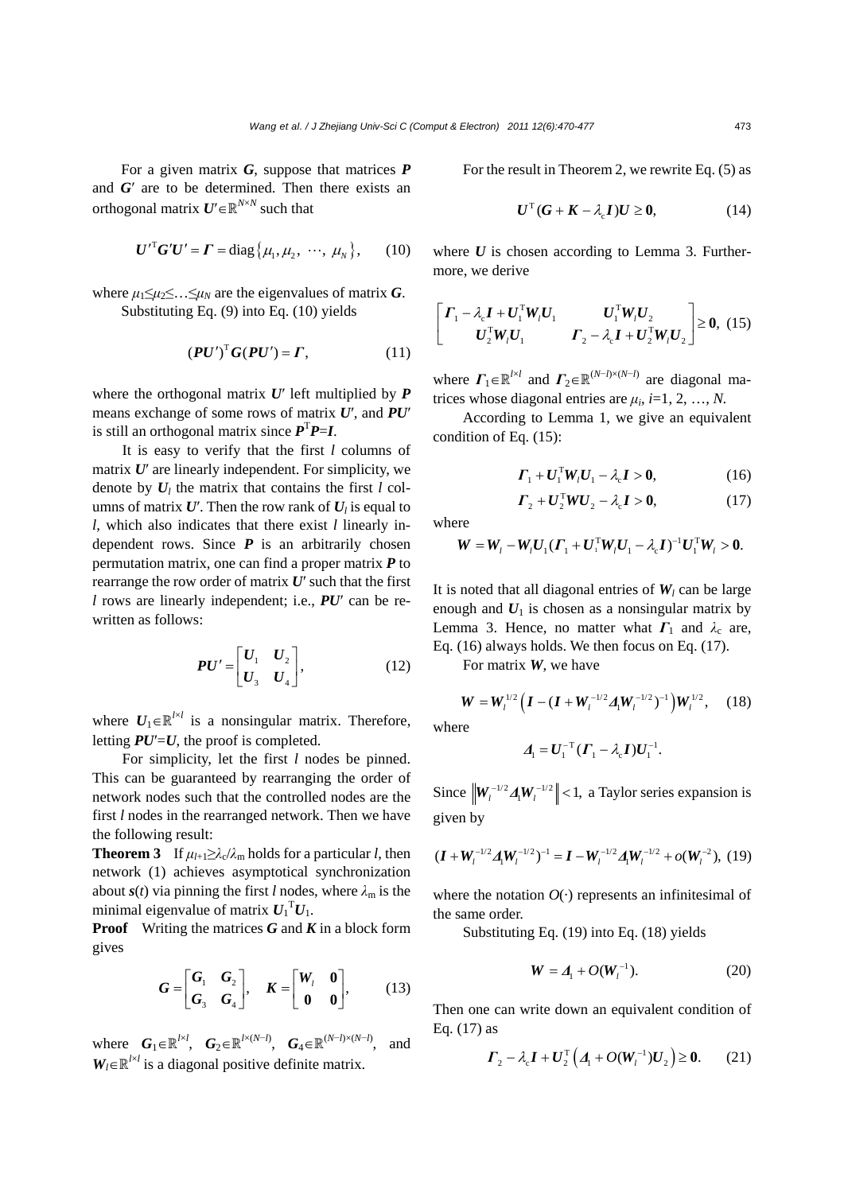For a given matrix *G*, suppose that matrices *P* and *G*′ are to be determined. Then there exists an orthogonal matrix  $U' \in \mathbb{R}^{N \times N}$  such that

$$
\boldsymbol{U}^{\prime T} \boldsymbol{G}^{\prime} \boldsymbol{U}^{\prime} = \boldsymbol{\Gamma} = \text{diag}\{\mu_1, \mu_2, \ \cdots, \ \mu_N\},\qquad(10)
$$

where  $\mu_1 \leq \mu_2 \leq \ldots \leq \mu_N$  are the eigenvalues of matrix *G*. Substituting Eq. (9) into Eq. (10) yields

$$
(\boldsymbol{P} \boldsymbol{U}')^{\mathrm{T}} \boldsymbol{G} (\boldsymbol{P} \boldsymbol{U}') = \boldsymbol{\varGamma}, \tag{11}
$$

where the orthogonal matrix *U*′ left multiplied by *P* means exchange of some rows of matrix *U*′, and *PU*′ is still an orthogonal matrix since  $P^{T}P=I$ .

It is easy to verify that the first *l* columns of matrix *U*′ are linearly independent. For simplicity, we denote by  $U_l$  the matrix that contains the first  $l$  columns of matrix  $U'$ . Then the row rank of  $U<sub>l</sub>$  is equal to *l*, which also indicates that there exist *l* linearly independent rows. Since *P* is an arbitrarily chosen permutation matrix, one can find a proper matrix *P* to rearrange the row order of matrix *U*′ such that the first *l* rows are linearly independent; i.e., *PU*′ can be rewritten as follows:

$$
PU' = \begin{bmatrix} U_1 & U_2 \\ U_3 & U_4 \end{bmatrix}, \tag{12}
$$

where  $U_1 \in \mathbb{R}^{l \times l}$  is a nonsingular matrix. Therefore, letting  $PU'=U$ , the proof is completed.

For simplicity, let the first *l* nodes be pinned. This can be guaranteed by rearranging the order of network nodes such that the controlled nodes are the first *l* nodes in the rearranged network. Then we have the following result:

**Theorem 3** If  $\mu_{l+1} \geq \lambda_c/\lambda_m$  holds for a particular *l*, then network (1) achieves asymptotical synchronization about  $s(t)$  via pinning the first *l* nodes, where  $\lambda_m$  is the minimal eigenvalue of matrix  $U_1$ <sup>T</sup> $U_1$ .

**Proof** Writing the matrices *G* and *K* in a block form gives

$$
G = \begin{bmatrix} G_1 & G_2 \\ G_3 & G_4 \end{bmatrix}, \quad K = \begin{bmatrix} W_l & \mathbf{0} \\ \mathbf{0} & \mathbf{0} \end{bmatrix}, \tag{13}
$$

where  $G_1 \in \mathbb{R}^{l \times l}$ ,  $G_2 \in \mathbb{R}^{l \times (N-l)}$ ,  $G_4 \in \mathbb{R}^{(N-l) \times (N-l)}$ , and  $W_l \in \mathbb{R}^{l \times l}$  is a diagonal positive definite matrix.

For the result in Theorem 2, we rewrite Eq. (5) as

$$
U^{\mathrm{T}}(G+K-\lambda_{\mathrm{c}}I)U\geq 0, \qquad (14)
$$

where  $U$  is chosen according to Lemma 3. Furthermore, we derive

$$
\begin{bmatrix}\n\boldsymbol{\varGamma}_{1} - \lambda_{\rm c} \boldsymbol{I} + \boldsymbol{U}_{1}^{\mathrm{T}} \boldsymbol{W}_{l} \boldsymbol{U}_{1} & \boldsymbol{U}_{1}^{\mathrm{T}} \boldsymbol{W}_{l} \boldsymbol{U}_{2} \\
\boldsymbol{U}_{2}^{\mathrm{T}} \boldsymbol{W}_{l} \boldsymbol{U}_{1} & \boldsymbol{\varGamma}_{2} - \lambda_{\rm c} \boldsymbol{I} + \boldsymbol{U}_{2}^{\mathrm{T}} \boldsymbol{W}_{l} \boldsymbol{U}_{2}\n\end{bmatrix} \geq 0, (15)
$$

where  $\Gamma_1 \in \mathbb{R}^{l \times l}$  and  $\Gamma_2 \in \mathbb{R}^{(N-l) \times (N-l)}$  are diagonal matrices whose diagonal entries are  $\mu_i$ , *i*=1, 2, …, *N*.

According to Lemma 1, we give an equivalent condition of Eq. (15):

$$
\Gamma_1 + U_1^{\rm T} W_i U_1 - \lambda_c I > 0, \qquad (16)
$$

$$
\boldsymbol{\Gamma}_2 + \boldsymbol{U}_2^{\mathrm{T}} \boldsymbol{W} \boldsymbol{U}_2 - \lambda_c \boldsymbol{I} > \boldsymbol{0}, \tag{17}
$$

where

$$
W = W_{l} - W_{l}U_{1}(\Gamma_{1} + U_{1}^{T}W_{l}U_{1} - \lambda_{c}I)^{-1}U_{1}^{T}W_{l} > 0.
$$

It is noted that all diagonal entries of  $W_l$  can be large enough and  $U_1$  is chosen as a nonsingular matrix by Lemma 3. Hence, no matter what  $\Gamma_1$  and  $\lambda_c$  are, Eq. (16) always holds. We then focus on Eq. (17).

For matrix *W*, we have

$$
\mathbf{W} = \mathbf{W}_{l}^{1/2} \left( \mathbf{I} - (\mathbf{I} + \mathbf{W}_{l}^{-1/2} \mathbf{\Lambda}_{l} \mathbf{W}_{l}^{-1/2})^{-1} \right) \mathbf{W}_{l}^{1/2}, \quad (18)
$$

where

$$
\boldsymbol{\varLambda}_1 = \boldsymbol{U}_1^{-T} (\boldsymbol{\varGamma}_1 - \lambda_c \boldsymbol{I}) \boldsymbol{U}_1^{-1}.
$$

Since  $\left\| \mathbf{W}_{l}^{-1/2} \mathbf{\Lambda}_{l} \mathbf{W}_{l}^{-1/2} \right\| < 1$ , a Taylor series expansion is given by

$$
(\boldsymbol{I} + \boldsymbol{W}_l^{-1/2} \boldsymbol{\varDelta}_l \boldsymbol{W}_l^{-1/2})^{-1} = \boldsymbol{I} - \boldsymbol{W}_l^{-1/2} \boldsymbol{\varDelta}_l \boldsymbol{W}_l^{-1/2} + o(\boldsymbol{W}_l^{-2}), (19)
$$

where the notation  $O(·)$  represents an infinitesimal of the same order.

Substituting Eq. (19) into Eq. (18) yields

$$
W = \underline{A}_1 + O(W_1^{-1}). \tag{20}
$$

Then one can write down an equivalent condition of Eq. (17) as

$$
\boldsymbol{\Gamma}_{2} - \lambda_{c} \boldsymbol{I} + \boldsymbol{U}_{2}^{\mathrm{T}} \left( \boldsymbol{\varLambda}_{1} + \boldsymbol{O}(\boldsymbol{W}_{l}^{-1}) \boldsymbol{U}_{2} \right) \geq \boldsymbol{0}. \qquad (21)
$$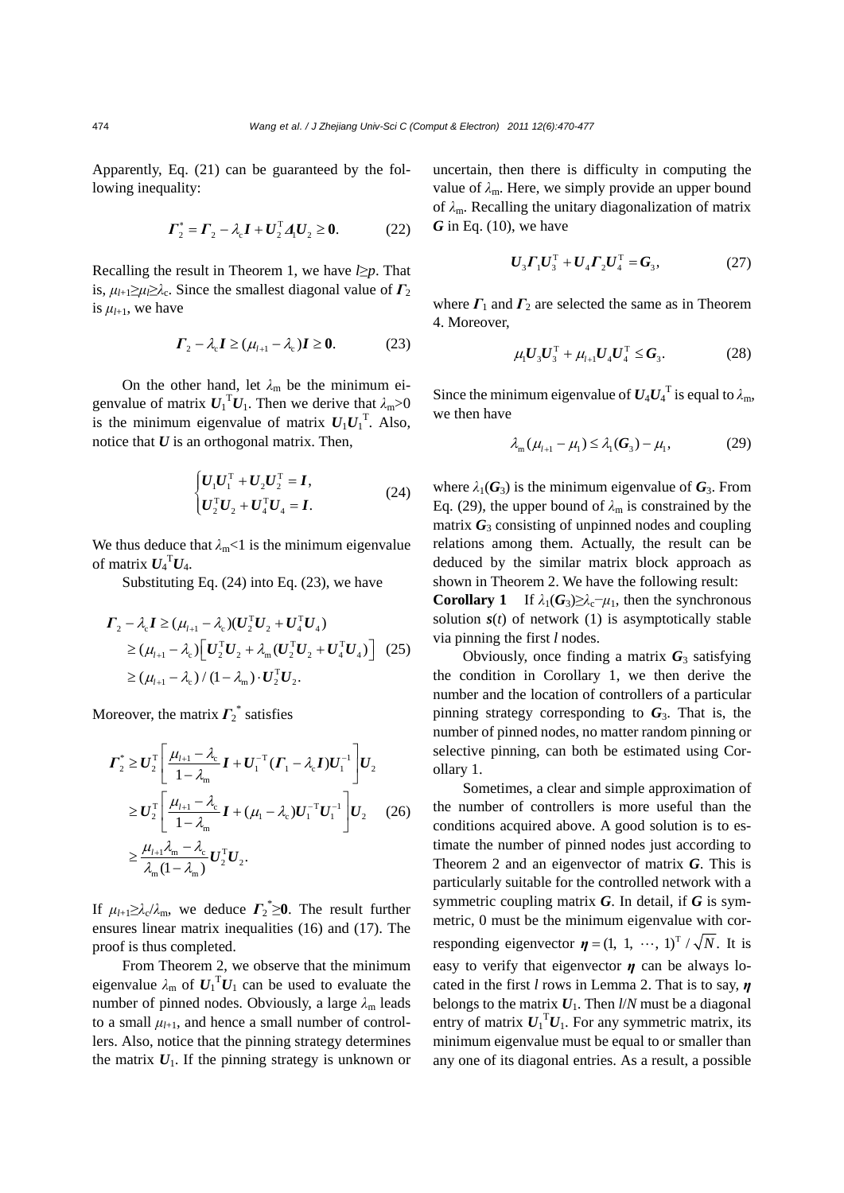Apparently, Eq. (21) can be guaranteed by the following inequality:

$$
\Gamma_2^* = \Gamma_2 - \lambda_c I + U_2^{\mathrm{T}} A_1 U_2 \ge 0. \tag{22}
$$

Recalling the result in Theorem 1, we have *l*≥*p*. That is,  $\mu_{l+1} \geq \mu_l \geq \lambda_c$ . Since the smallest diagonal value of  $\Gamma_2$ is  $\mu_{l+1}$ , we have

$$
\boldsymbol{\Gamma}_2 - \lambda_c \boldsymbol{I} \ge (\mu_{l+1} - \lambda_c) \boldsymbol{I} \ge 0. \tag{23}
$$

On the other hand, let  $\lambda_m$  be the minimum eigenvalue of matrix  $U_1^T U_1$ . Then we derive that  $\lambda_m > 0$ is the minimum eigenvalue of matrix  $U_1U_1^T$ . Also, notice that *U* is an orthogonal matrix. Then,

$$
\begin{cases}\nU_1 U_1^{\mathrm{T}} + U_2 U_2^{\mathrm{T}} = I, \\
U_2^{\mathrm{T}} U_2 + U_4^{\mathrm{T}} U_4 = I.\n\end{cases}
$$
\n(24)

We thus deduce that  $\lambda_m < 1$  is the minimum eigenvalue of matrix  $U_4$ <sup>T</sup> $U_4$ .

Substituting Eq. (24) into Eq. (23), we have

$$
\Gamma_2 - \lambda_c I \ge (\mu_{l+1} - \lambda_c)(U_2^{\mathrm{T}}U_2 + U_4^{\mathrm{T}}U_4)
$$
  
\n
$$
\ge (\mu_{l+1} - \lambda_c) \Big[ U_2^{\mathrm{T}}U_2 + \lambda_m (U_2^{\mathrm{T}}U_2 + U_4^{\mathrm{T}}U_4) \Big] \tag{25}
$$
  
\n
$$
\ge (\mu_{l+1} - \lambda_c) / (1 - \lambda_m) \cdot U_2^{\mathrm{T}}U_2.
$$

Moreover, the matrix  $\mathcal{r}_2^*$  satisfies

$$
\Gamma_2^* \geq U_2^{\text{T}} \left[ \frac{\mu_{l+1} - \lambda_c}{1 - \lambda_m} \mathbf{I} + U_1^{-\text{T}} (\mathbf{\Gamma}_1 - \lambda_c \mathbf{I}) U_1^{-1} \right] U_2
$$
\n
$$
\geq U_2^{\text{T}} \left[ \frac{\mu_{l+1} - \lambda_c}{1 - \lambda_m} \mathbf{I} + (\mu_l - \lambda_c) U_1^{-\text{T}} U_1^{-1} \right] U_2 \qquad (26)
$$
\n
$$
\geq \frac{\mu_{l+1} \lambda_m - \lambda_c}{\lambda_m (1 - \lambda_m)} U_2^{\text{T}} U_2.
$$

If  $\mu_{l+1} \geq \lambda_c/\lambda_m$ , we deduce  $\Gamma_2^* \geq 0$ . The result further ensures linear matrix inequalities (16) and (17). The proof is thus completed.

From Theorem 2, we observe that the minimum eigenvalue  $\lambda_{m}$  of  $\boldsymbol{U}_{1}^{T} \boldsymbol{U}_{1}$  can be used to evaluate the number of pinned nodes. Obviously, a large  $\lambda_{\rm m}$  leads to a small  $\mu_{l+1}$ , and hence a small number of controllers. Also, notice that the pinning strategy determines the matrix  $U_1$ . If the pinning strategy is unknown or

uncertain, then there is difficulty in computing the value of *λ*m. Here, we simply provide an upper bound of *λ*m. Recalling the unitary diagonalization of matrix *G* in Eq. (10), we have

$$
U_3 \Gamma_1 U_3^{\rm T} + U_4 \Gamma_2 U_4^{\rm T} = G_3, \qquad (27)
$$

where  $\mathbf{F}_1$  and  $\mathbf{F}_2$  are selected the same as in Theorem 4. Moreover,

$$
\mu_1 U_3 U_3^{\mathrm{T}} + \mu_{l+1} U_4 U_4^{\mathrm{T}} \le G_3. \tag{28}
$$

Since the minimum eigenvalue of  $U_4U_4^T$  is equal to  $\lambda_m$ , we then have

$$
\lambda_{m}(\mu_{l+1} - \mu_{l}) \leq \lambda_{l}(G_3) - \mu_{l},
$$
 (29)

where  $\lambda_1(G_3)$  is the minimum eigenvalue of  $G_3$ . From Eq. (29), the upper bound of  $\lambda_m$  is constrained by the matrix  $G_3$  consisting of unpinned nodes and coupling relations among them. Actually, the result can be deduced by the similar matrix block approach as shown in Theorem 2. We have the following result:

**Corollary 1** If  $\lambda_1(G_3) \geq \lambda_c - \mu_1$ , then the synchronous solution  $s(t)$  of network (1) is asymptotically stable via pinning the first *l* nodes.

Obviously, once finding a matrix  $G_3$  satisfying the condition in Corollary 1, we then derive the number and the location of controllers of a particular pinning strategy corresponding to  $G_3$ . That is, the number of pinned nodes, no matter random pinning or selective pinning, can both be estimated using Corollary 1.

Sometimes, a clear and simple approximation of the number of controllers is more useful than the conditions acquired above. A good solution is to estimate the number of pinned nodes just according to Theorem 2 and an eigenvector of matrix *G*. This is particularly suitable for the controlled network with a symmetric coupling matrix *G*. In detail, if *G* is symmetric, 0 must be the minimum eigenvalue with corresponding eigenvector  $\boldsymbol{\eta} = (1, 1, \dots, 1)^T / \sqrt{N}$ . It is easy to verify that eigenvector *η* can be always located in the first *l* rows in Lemma 2. That is to say, *η* belongs to the matrix  $U_1$ . Then  $l/N$  must be a diagonal entry of matrix  $U_1^T U_1$ . For any symmetric matrix, its minimum eigenvalue must be equal to or smaller than any one of its diagonal entries. As a result, a possible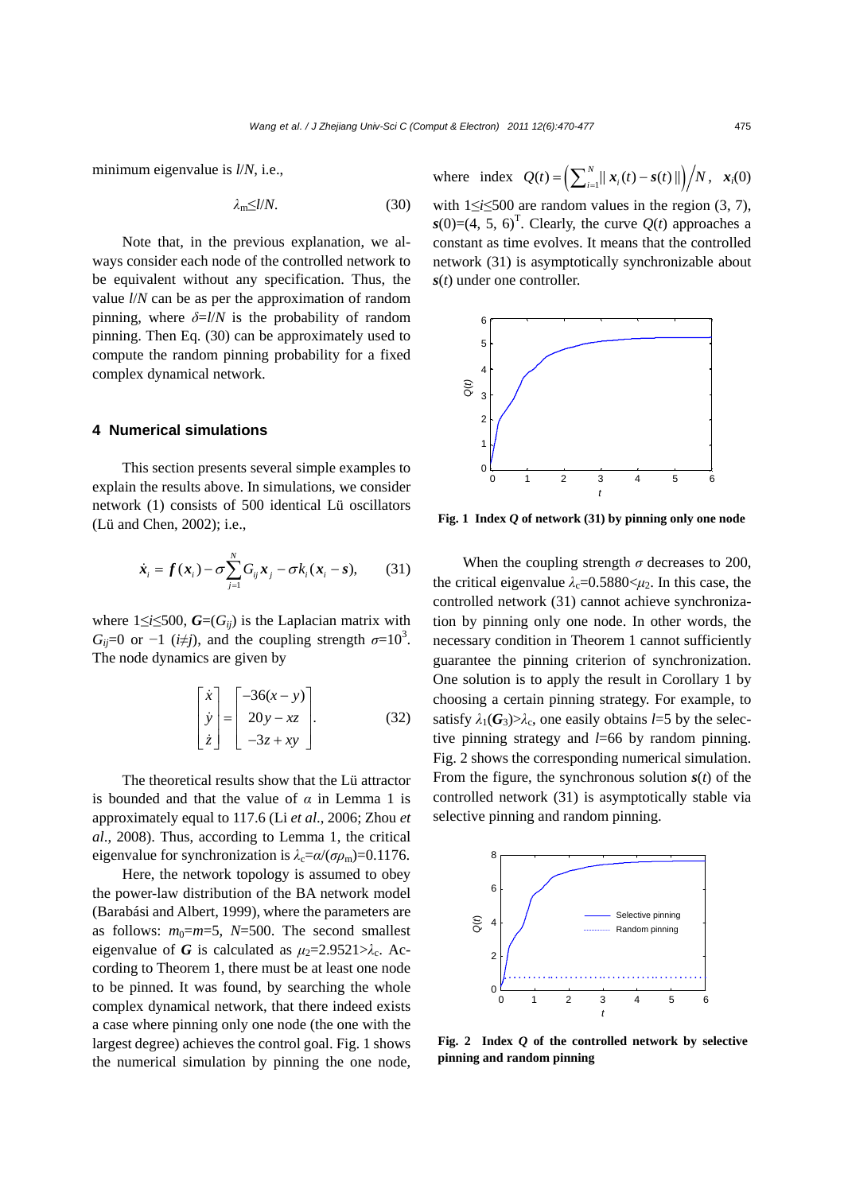minimum eigenvalue is *l*/*N*, i.e.,

$$
\lambda_{\rm m} \leq l/N. \tag{30}
$$

Note that, in the previous explanation, we always consider each node of the controlled network to be equivalent without any specification. Thus, the value *l*/*N* can be as per the approximation of random pinning, where  $\delta = l/N$  is the probability of random pinning. Then Eq. (30) can be approximately used to compute the random pinning probability for a fixed complex dynamical network.

## **4 Numerical simulations**

This section presents several simple examples to explain the results above. In simulations, we consider network (1) consists of 500 identical Lü oscillators (Lü and Chen, 2002); i.e.,

$$
\dot{\boldsymbol{x}}_i = \boldsymbol{f}(\boldsymbol{x}_i) - \sigma \sum_{j=1}^N G_{ij} \boldsymbol{x}_j - \sigma k_i (\boldsymbol{x}_i - \boldsymbol{s}), \qquad (31)
$$

where  $1 \le i \le 500$ ,  $G=(G_{ij})$  is the Laplacian matrix with *G<sub>ij</sub>*=0 or -1 (*i* $\neq$ *j*), and the coupling strength  $\sigma$ =10<sup>3</sup>. The node dynamics are given by

$$
\begin{bmatrix} \dot{x} \\ \dot{y} \\ \dot{z} \end{bmatrix} = \begin{bmatrix} -36(x-y) \\ 20y - xz \\ -3z + xy \end{bmatrix}.
$$
 (32)

The theoretical results show that the Lü attractor is bounded and that the value of  $\alpha$  in Lemma 1 is approximately equal to 117.6 (Li *et al*., 2006; Zhou *et al*., 2008). Thus, according to Lemma 1, the critical eigenvalue for synchronization is  $\lambda_c = \alpha/(\sigma \rho_m) = 0.1176$ .

Here, the network topology is assumed to obey the power-law distribution of the BA network model (Barabási and Albert, 1999), where the parameters are as follows:  $m_0=m=5$ ,  $N=500$ . The second smallest eigenvalue of *G* is calculated as  $\mu_2 = 2.9521 > \lambda_c$ . According to Theorem 1, there must be at least one node to be pinned. It was found, by searching the whole complex dynamical network, that there indeed exists a case where pinning only one node (the one with the largest degree) achieves the control goal. Fig. 1 shows the numerical simulation by pinning the one node, where index  $Q(t) = \left( \sum_{i=1}^{N} ||x_i(t) - s(t)|| \right) / N, x_i(0)$ 

with 1≤*i*≤500 are random values in the region (3, 7),  $s(0) = (4, 5, 6)^T$ . Clearly, the curve  $Q(t)$  approaches a constant as time evolves. It means that the controlled network (31) is asymptotically synchronizable about *s*(*t*) under one controller.



**Fig. 1 Index** *Q* **of network (31) by pinning only one node**

When the coupling strength  $\sigma$  decreases to 200, the critical eigenvalue  $\lambda_c = 0.5880 \leq \mu_2$ . In this case, the controlled network (31) cannot achieve synchronization by pinning only one node. In other words, the necessary condition in Theorem 1 cannot sufficiently guarantee the pinning criterion of synchronization. One solution is to apply the result in Corollary 1 by choosing a certain pinning strategy. For example, to satisfy  $\lambda_1(G_3) > \lambda_c$ , one easily obtains *l*=5 by the selective pinning strategy and *l*=66 by random pinning. Fig. 2 shows the corresponding numerical simulation. From the figure, the synchronous solution  $s(t)$  of the controlled network (31) is asymptotically stable via selective pinning and random pinning.



**Fig. 2 Index** *Q* **of the controlled network by selective pinning and random pinning**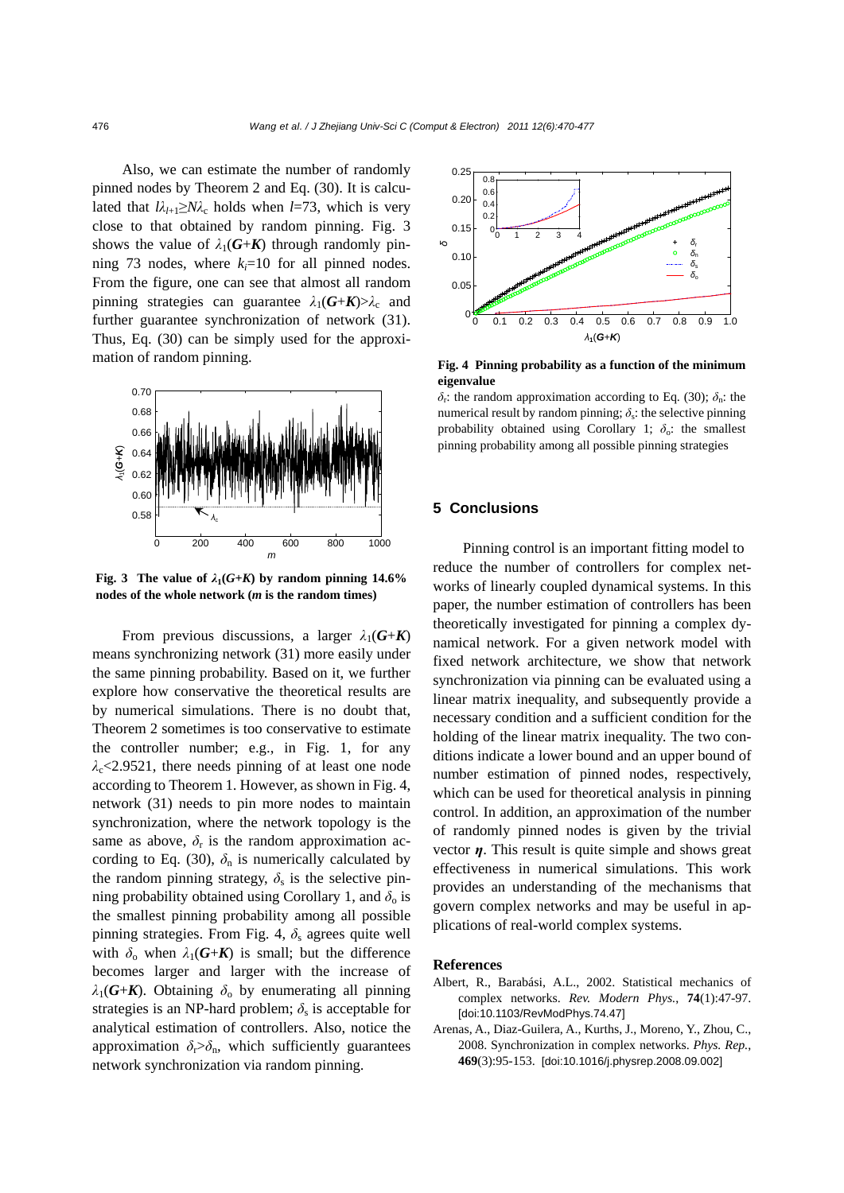Also, we can estimate the number of randomly pinned nodes by Theorem 2 and Eq. (30). It is calculated that  $l\lambda_{l+1} \geq N\lambda_c$  holds when *l*=73, which is very close to that obtained by random pinning. Fig. 3 shows the value of  $\lambda_1(G+K)$  through randomly pinning 73 nodes, where  $k_i=10$  for all pinned nodes. From the figure, one can see that almost all random pinning strategies can guarantee  $\lambda_1(G+K) > \lambda_c$  and further guarantee synchronization of network (31). Thus, Eq. (30) can be simply used for the approximation of random pinning.



**Fig. 3** The value of  $\lambda_1(G+K)$  by random pinning 14.6% **nodes of the whole network (***m* **is the random times)**

From previous discussions, a larger  $\lambda_1(G+K)$ means synchronizing network (31) more easily under the same pinning probability. Based on it, we further explore how conservative the theoretical results are by numerical simulations. There is no doubt that, Theorem 2 sometimes is too conservative to estimate the controller number; e.g., in Fig. 1, for any  $\lambda_c$ <2.9521, there needs pinning of at least one node according to Theorem 1. However, as shown in Fig. 4, network (31) needs to pin more nodes to maintain synchronization, where the network topology is the same as above,  $\delta_r$  is the random approximation according to Eq. (30),  $\delta_n$  is numerically calculated by the random pinning strategy,  $\delta_s$  is the selective pinning probability obtained using Corollary 1, and  $\delta_0$  is the smallest pinning probability among all possible pinning strategies. From Fig. 4,  $\delta_s$  agrees quite well with  $\delta_0$  when  $\lambda_1(G+K)$  is small; but the difference becomes larger and larger with the increase of  $λ_1$ (*G*+*K*). Obtaining  $δ_0$  by enumerating all pinning strategies is an NP-hard problem;  $\delta_s$  is acceptable for analytical estimation of controllers. Also, notice the approximation  $\delta_{\rm r} > \delta_{\rm n}$ , which sufficiently guarantees network synchronization via random pinning.



**Fig. 4 Pinning probability as a function of the minimum eigenvalue** 

*δ*r: the random approximation according to Eq. (30); *δ*n: the numerical result by random pinning;  $\delta_{s}$ : the selective pinning probability obtained using Corollary 1;  $\delta_0$ : the smallest pinning probability among all possible pinning strategies

### **5 Conclusions**

Pinning control is an important fitting model to reduce the number of controllers for complex networks of linearly coupled dynamical systems. In this paper, the number estimation of controllers has been theoretically investigated for pinning a complex dynamical network. For a given network model with fixed network architecture, we show that network synchronization via pinning can be evaluated using a linear matrix inequality, and subsequently provide a necessary condition and a sufficient condition for the holding of the linear matrix inequality. The two conditions indicate a lower bound and an upper bound of number estimation of pinned nodes, respectively, which can be used for theoretical analysis in pinning control. In addition, an approximation of the number of randomly pinned nodes is given by the trivial vector *η*. This result is quite simple and shows great effectiveness in numerical simulations. This work provides an understanding of the mechanisms that govern complex networks and may be useful in applications of real-world complex systems.

#### **References**

- Albert, R., Barabási, A.L., 2002. Statistical mechanics of complex networks. *Rev. Modern Phys.*, **74**(1):47-97. [doi:10.1103/RevModPhys.74.47]
- Arenas, A., Diaz-Guilera, A., Kurths, J., Moreno, Y., Zhou, C., 2008. Synchronization in complex networks. *Phys. Rep.*, **469**(3):95-153. [doi:10.1016/j.physrep.2008.09.002]